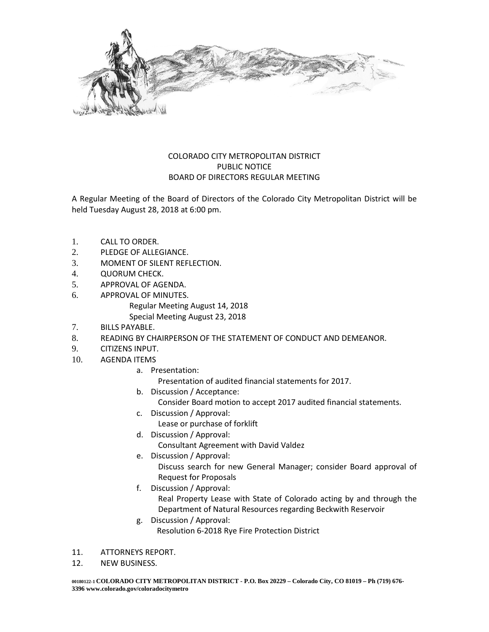

## COLORADO CITY METROPOLITAN DISTRICT PUBLIC NOTICE BOARD OF DIRECTORS REGULAR MEETING

A Regular Meeting of the Board of Directors of the Colorado City Metropolitan District will be held Tuesday August 28, 2018 at 6:00 pm.

- 1. CALL TO ORDER.
- 2. PLEDGE OF ALLEGIANCE.
- 3. MOMENT OF SILENT REFLECTION.
- 4. QUORUM CHECK.
- 5. APPROVAL OF AGENDA.
- 6. APPROVAL OF MINUTES. Regular Meeting August 14, 2018 Special Meeting August 23, 2018
- 7. BILLS PAYABLE.
- 8. READING BY CHAIRPERSON OF THE STATEMENT OF CONDUCT AND DEMEANOR.
- 9. CITIZENS INPUT.
- 10. AGENDA ITEMS
	- a. Presentation:
		- Presentation of audited financial statements for 2017.
	- b. Discussion / Acceptance:
		- Consider Board motion to accept 2017 audited financial statements.
	- c. Discussion / Approval:
		- Lease or purchase of forklift
	- d. Discussion / Approval:
		- Consultant Agreement with David Valdez
	- e. Discussion / Approval:

Discuss search for new General Manager; consider Board approval of Request for Proposals

f. Discussion / Approval:

Real Property Lease with State of Colorado acting by and through the Department of Natural Resources regarding Beckwith Reservoir

- g. Discussion / Approval: Resolution 6-2018 Rye Fire Protection District
- 11. ATTORNEYS REPORT.
- 12. NEW BUSINESS.